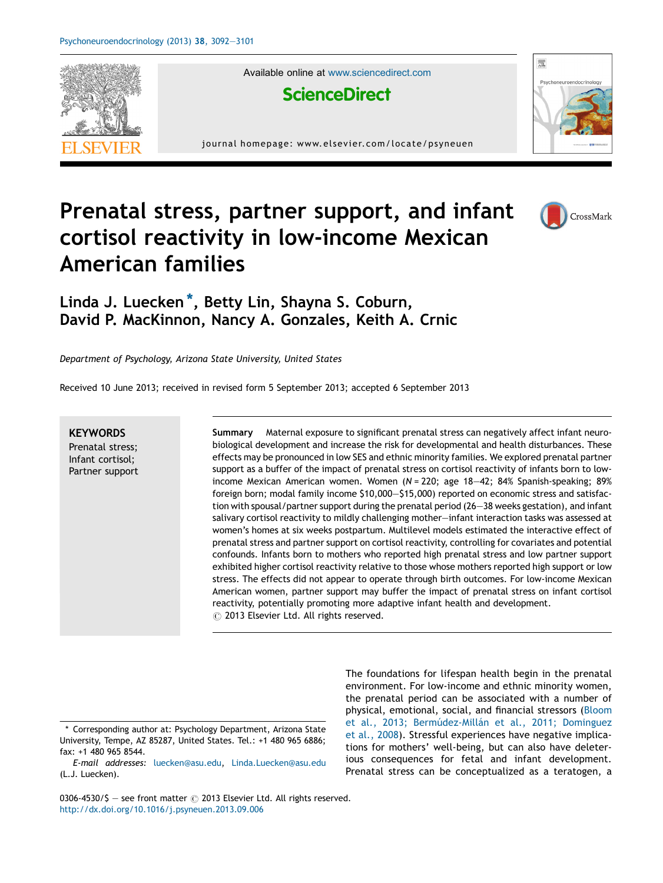

Available online at [www.sciencedirect.com](http://www.sciencedirect.com/science/journal/03064530)



journal homepage: www.elsevier.com/locate/psyneuen



## Prenatal stress, partner support, and infant cortisol reactivity in low-income Mexican American families



## Linda J. Luecken \*, Betty Lin, Shayna S. Coburn, David P. MacKinnon, Nancy A. Gonzales, Keith A. Crnic

Department of Psychology, Arizona State University, United States

Received 10 June 2013; received in revised form 5 September 2013; accepted 6 September 2013

**KEYWORDS** Prenatal stress; Infant cortisol; Partner support Summary Maternal exposure to significant prenatal stress can negatively affect infant neurobiological development and increase the risk for developmental and health disturbances. These effects may be pronounced in low SES and ethnic minority families. We explored prenatal partner support as a buffer of the impact of prenatal stress on cortisol reactivity of infants born to lowincome Mexican American women. Women  $(N = 220)$ ; age 18-42; 84% Spanish-speaking; 89% foreign born; modal family income \$10,000—\$15,000) reported on economic stress and satisfaction with spousal/partner support during the prenatal period (26—38 weeks gestation), and infant salivary cortisol reactivity to mildly challenging mother—infant interaction tasks was assessed at women's homes at six weeks postpartum. Multilevel models estimated the interactive effect of prenatal stress and partner support on cortisol reactivity, controlling for covariates and potential confounds. Infants born to mothers who reported high prenatal stress and low partner support exhibited higher cortisol reactivity relative to those whose mothers reported high support or low stress. The effects did not appear to operate through birth outcomes. For low-income Mexican American women, partner support may buffer the impact of prenatal stress on infant cortisol reactivity, potentially promoting more adaptive infant health and development.  $\circled{c}$  2013 Elsevier Ltd. All rights reserved.

\* Corresponding author at: Psychology Department, Arizona State University, Tempe, AZ 85287, United States. Tel.: +1 480 965 6886; fax: +1 480 965 8544.

The foundations for lifespan health begin in the prenatal environment. For low-income and ethnic minority women, the prenatal period can be associated with a number of physical, emotional, social, and financial stressors ([Bloom](#page--1-0) et al., 2013; Bermúdez-Millán et al., 2011; Dominguez et al., [2008](#page--1-0)). Stressful experiences have negative implications for mothers' well-being, but can also have deleterious consequences for fetal and infant development. Prenatal stress can be conceptualized as a teratogen, a

0306-4530/\$ - see front matter  $\odot$  2013 Elsevier Ltd. All rights reserved. <http://dx.doi.org/10.1016/j.psyneuen.2013.09.006>

E-mail addresses: [luecken@asu.edu,](mailto:luecken@asu.edu) [Linda.Luecken@asu.edu](mailto:Linda.Luecken@asu.edu) (L.J. Luecken).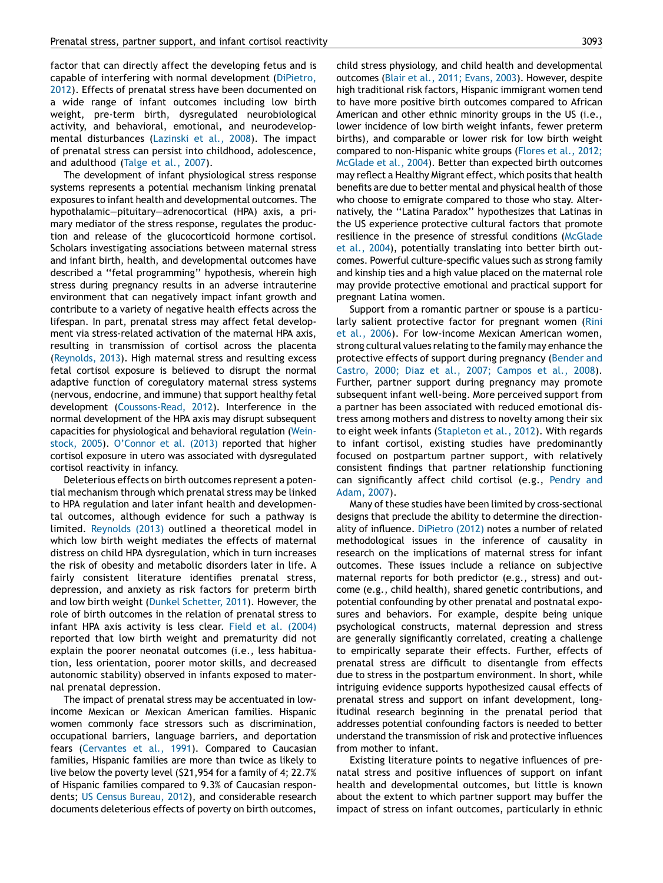factor that can directly affect the developing fetus and is capable of interfering with normal development ([DiPietro,](#page--1-0) [2012](#page--1-0)). Effects of prenatal stress have been documented on a wide range of infant outcomes including low birth weight, pre-term birth, dysregulated neurobiological activity, and behavioral, emotional, and neurodevelopmental disturbances ([Lazinski](#page--1-0) et al., 2008). The impact of prenatal stress can persist into childhood, adolescence, and adulthood [\(Talge](#page--1-0) et al., 2007).

The development of infant physiological stress response systems represents a potential mechanism linking prenatal exposures to infant health and developmental outcomes. The hypothalamic—pituitary—adrenocortical (HPA) axis, a primary mediator of the stress response, regulates the production and release of the glucocorticoid hormone cortisol. Scholars investigating associations between maternal stress and infant birth, health, and developmental outcomes have described a ''fetal programming'' hypothesis, wherein high stress during pregnancy results in an adverse intrauterine environment that can negatively impact infant growth and contribute to a variety of negative health effects across the lifespan. In part, prenatal stress may affect fetal development via stress-related activation of the maternal HPA axis, resulting in transmission of cortisol across the placenta ([Reynolds,](#page--1-0) 2013). High maternal stress and resulting excess fetal cortisol exposure is believed to disrupt the normal adaptive function of coregulatory maternal stress systems (nervous, endocrine, and immune) that support healthy fetal development [\(Coussons-Read,](#page--1-0) 2012). Interference in the normal development of the HPA axis may disrupt subsequent capacities for physiological and behavioral regulation ([Wein](#page--1-0)[stock,](#page--1-0) 2005). [O'Connor](#page--1-0) et al. (2013) reported that higher cortisol exposure in utero was associated with dysregulated cortisol reactivity in infancy.

Deleterious effects on birth outcomes represent a potential mechanism through which prenatal stress may be linked to HPA regulation and later infant health and developmental outcomes, although evidence for such a pathway is limited. [Reynolds](#page--1-0) (2013) outlined a theoretical model in which low birth weight mediates the effects of maternal distress on child HPA dysregulation, which in turn increases the risk of obesity and metabolic disorders later in life. A fairly consistent literature identifies prenatal stress, depression, and anxiety as risk factors for preterm birth and low birth weight (Dunkel [Schetter,](#page--1-0) 2011). However, the role of birth outcomes in the relation of prenatal stress to infant HPA axis activity is less clear. Field et al. [\(2004\)](#page--1-0) reported that low birth weight and prematurity did not explain the poorer neonatal outcomes (i.e., less habituation, less orientation, poorer motor skills, and decreased autonomic stability) observed in infants exposed to maternal prenatal depression.

The impact of prenatal stress may be accentuated in lowincome Mexican or Mexican American families. Hispanic women commonly face stressors such as discrimination, occupational barriers, language barriers, and deportation fears [\(Cervantes](#page--1-0) et al., 1991). Compared to Caucasian families, Hispanic families are more than twice as likely to live below the poverty level (\$21,954 for a family of 4; 22.7% of Hispanic families compared to 9.3% of Caucasian respondents; US Census [Bureau,](#page--1-0) 2012), and considerable research documents deleterious effects of poverty on birth outcomes, child stress physiology, and child health and developmental outcomes (Blair et al., 2011; [Evans,](#page--1-0) 2003). However, despite high traditional risk factors, Hispanic immigrant women tend to have more positive birth outcomes compared to African American and other ethnic minority groups in the US (i.e., lower incidence of low birth weight infants, fewer preterm births), and comparable or lower risk for low birth weight compared to non-Hispanic white groups ([Flores](#page--1-0) et al., 2012; [McGlade](#page--1-0) et al., 2004). Better than expected birth outcomes may reflect a Healthy Migrant effect, which posits that health benefits are due to better mental and physical health of those who choose to emigrate compared to those who stay. Alternatively, the ''Latina Paradox'' hypothesizes that Latinas in the US experience protective cultural factors that promote resilience in the presence of stressful conditions ([McGlade](#page--1-0) et al., [2004\)](#page--1-0), potentially translating into better birth outcomes. Powerful culture-specific values such as strong family and kinship ties and a high value placed on the maternal role may provide protective emotional and practical support for pregnant Latina women.

Support from a romantic partner or spouse is a particu-larly salient protective factor for pregnant women [\(Rini](#page--1-0)) et al., [2006](#page--1-0)). For low-income Mexican American women, strong cultural values relating to the family may enhance the protective effects of support during pregnancy ([Bender](#page--1-0) and Castro, 2000; Diaz et al., 2007; [Campos](#page--1-0) et al., 2008). Further, partner support during pregnancy may promote subsequent infant well-being. More perceived support from a partner has been associated with reduced emotional distress among mothers and distress to novelty among their six to eight week infants ([Stapleton](#page--1-0) et al., 2012). With regards to infant cortisol, existing studies have predominantly focused on postpartum partner support, with relatively consistent findings that partner relationship functioning can significantly affect child cortisol (e.g., [Pendry](#page--1-0) and [Adam,](#page--1-0) 2007).

Many of these studies have been limited by cross-sectional designs that preclude the ability to determine the directionality of influence. [DiPietro](#page--1-0) (2012) notes a number of related methodological issues in the inference of causality in research on the implications of maternal stress for infant outcomes. These issues include a reliance on subjective maternal reports for both predictor (e.g., stress) and outcome (e.g., child health), shared genetic contributions, and potential confounding by other prenatal and postnatal exposures and behaviors. For example, despite being unique psychological constructs, maternal depression and stress are generally significantly correlated, creating a challenge to empirically separate their effects. Further, effects of prenatal stress are difficult to disentangle from effects due to stress in the postpartum environment. In short, while intriguing evidence supports hypothesized causal effects of prenatal stress and support on infant development, longitudinal research beginning in the prenatal period that addresses potential confounding factors is needed to better understand the transmission of risk and protective influences from mother to infant.

Existing literature points to negative influences of prenatal stress and positive influences of support on infant health and developmental outcomes, but little is known about the extent to which partner support may buffer the impact of stress on infant outcomes, particularly in ethnic